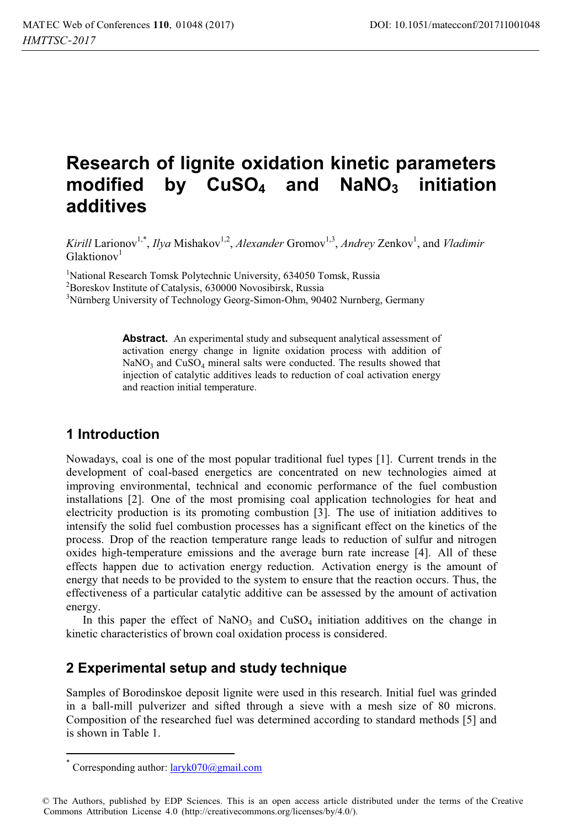# **Research of lignite oxidation kinetic parameters modified by CuSO4 and NaNO3 initiation additives**

*Kirill* Larionov<sup>1,\*</sup>, *Ilya* Mishakov<sup>1,2</sup>, *Alexander* Gromov<sup>1,3</sup>, *Andrey* Zenkov<sup>1</sup>, and *Vladimir*  $G$ laktionov<sup>1</sup>

<sup>1</sup>National Research Tomsk Polytechnic University, 634050 Tomsk, Russia<br><sup>2</sup>Boreskov Institute of Catalysis, 630000 Novosibirsk, Russia

Boreskov Institute of Catalysis, 630000 Novosibirsk, Russia

3 Nürnberg University of Technology Georg-Simon-Ohm, 90402 Nurnberg, Germany

**Abstract.** An experimental study and subsequent analytical assessment of activation energy change in lignite oxidation process with addition of  $NaNO<sub>3</sub>$  and  $CuSO<sub>4</sub>$  mineral salts were conducted. The results showed that injection of catalytic additives leads to reduction of coal activation energy and reaction initial temperature.

## **1 Introduction**

Nowadays, coal is one of the most popular traditional fuel types [1]. Current trends in the development of coal-based energetics are concentrated on new technologies aimed at improving environmental, technical and economic performance of the fuel combustion installations [2]. One of the most promising coal application technologies for heat and electricity production is its promoting combustion [3]. The use of initiation additives to intensify the solid fuel combustion processes has a significant effect on the kinetics of the process. Drop of the reaction temperature range leads to reduction of sulfur and nitrogen oxides high-temperature emissions and the average burn rate increase [4]. All of these effects happen due to activation energy reduction. Activation energy is the amount of energy that needs to be provided to the system to ensure that the reaction occurs. Thus, the effectiveness of a particular catalytic additive can be assessed by the amount of activation energy.

In this paper the effect of  $NaNO<sub>3</sub>$  and  $CuSO<sub>4</sub>$  initiation additives on the change in kinetic characteristics of brown coal oxidation process is considered.

## **2 Experimental setup and study technique**

Samples of Borodinskoe deposit lignite were used in this research. Initial fuel was grinded in a ball-mill pulverizer and sifted through a sieve with a mesh size of 80 microns. Composition of the researched fuel was determined according to standard methods [5] and is shown in Table 1.

l

© The Authors, published by EDP Sciences. This is an open access article distributed under the terms of the Creative Commons Attribution License 4.0 (http://creativecommons.org/licenses/by/4.0/).

Corresponding author: laryk070@gmail.com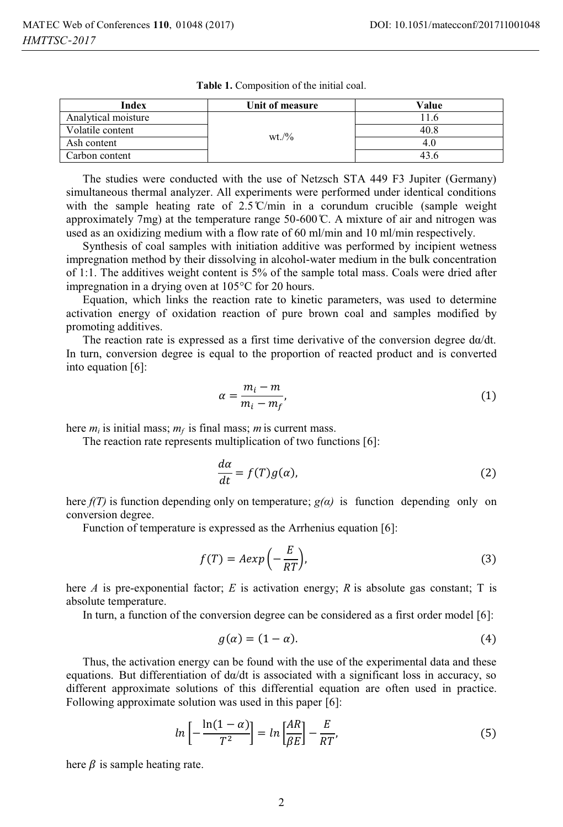| Index               | Unit of measure | Value |
|---------------------|-----------------|-------|
| Analytical moisture | $wt./\%$        | 11.6  |
| Volatile content    |                 | 40.8  |
| Ash content         |                 | 4.0   |
| Carbon content      |                 | 43.6  |

**Table 1.** Composition of the initial coal.

The studies were conducted with the use of Netzsch STA 449 F3 Jupiter (Germany) simultaneous thermal analyzer. All experiments were performed under identical conditions with the sample heating rate of  $2.5 \degree \text{C/min}$  in a corundum crucible (sample weight approximately 7mg) at the temperature range 50-600  $\mathbb{C}$ . A mixture of air and nitrogen was used as an oxidizing medium with a flow rate of 60 ml/min and 10 ml/min respectively.

Synthesis of coal samples with initiation additive was performed by incipient wetness impregnation method by their dissolving in alcohol-water medium in the bulk concentration of 1:1. The additives weight content is 5% of the sample total mass. Coals were dried after impregnation in a drying oven at 105°C for 20 hours.

Equation, which links the reaction rate to kinetic parameters, was used to determine activation energy of oxidation reaction of pure brown coal and samples modified by promoting additives.

The reaction rate is expressed as a first time derivative of the conversion degree  $d\alpha/dt$ . In turn, conversion degree is equal to the proportion of reacted product and is converted into equation [6]:

$$
\alpha = \frac{m_i - m}{m_i - m_f},\tag{1}
$$

here  $m_i$  is initial mass;  $m_f$  is final mass; *m* is current mass.

The reaction rate represents multiplication of two functions [6]:

$$
\frac{d\alpha}{dt} = f(T)g(\alpha),\tag{2}
$$

here  $f(T)$  is function depending only on temperature;  $g(\alpha)$  is function depending only on conversion degree.

Function of temperature is expressed as the Arrhenius equation [6]:

$$
f(T) = A \exp\left(-\frac{E}{RT}\right),\tag{3}
$$

here *A* is pre-exponential factor; *E* is activation energy; *R* is absolute gas constant; T is absolute temperature.

In turn, a function of the conversion degree can be considered as a first order model [6]:

$$
g(\alpha) = (1 - \alpha). \tag{4}
$$

Thus, the activation energy can be found with the use of the experimental data and these equations. But differentiation of dα/dt is associated with a significant loss in accuracy, so different approximate solutions of this differential equation are often used in practice. Following approximate solution was used in this paper [6]:

$$
ln\left[-\frac{ln(1-\alpha)}{T^2}\right] = ln\left[\frac{AR}{\beta E}\right] - \frac{E}{RT},
$$
\n(5)

here  $\beta$  is sample heating rate.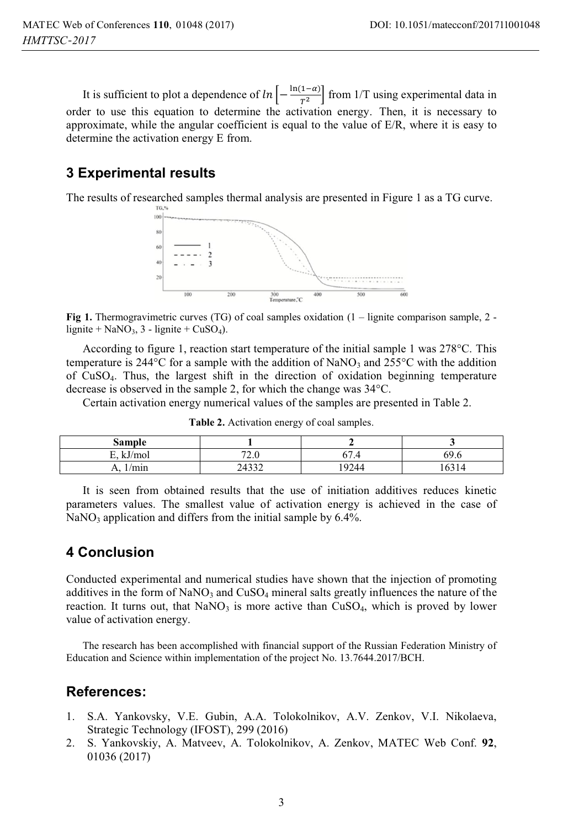It is sufficient to plot a dependence of  $\ln \left[-\frac{\ln(1-\alpha)}{T^2}\right]$  from 1/T using experimental data in order to use this equation to determine the activation energy. Then, it is necessary to approximate, while the angular coefficient is equal to the value of E/R, where it is easy to determine the activation energy E from.

## **3 Experimental results**

The results of researched samples thermal analysis are presented in Figure 1 as a TG curve.



**Fig 1.** Thermogravimetric curves (TG) of coal samples oxidation (1 – lignite comparison sample, 2 lignite + NaNO<sub>3</sub>, 3 - lignite + CuSO<sub>4</sub>).

According to figure 1, reaction start temperature of the initial sample 1 was 278°C. This temperature is 244 $^{\circ}$ C for a sample with the addition of NaNO<sub>3</sub> and 255 $^{\circ}$ C with the addition of CuSO4. Thus, the largest shift in the direction of oxidation beginning temperature decrease is observed in the sample 2, for which the change was 34°C.

Certain activation energy numerical values of the samples are presented in Table 2.

| <b>Sample</b> |       |            |      |
|---------------|-------|------------|------|
| kJ/mol<br>E.  | 72.0  | ٠,<br>07.4 | 69.6 |
| /min<br>Δ.    | 24332 | 19244      | 6314 |

**Table 2.** Activation energy of coal samples.

It is seen from obtained results that the use of initiation additives reduces kinetic parameters values. The smallest value of activation energy is achieved in the case of  $NaNO<sub>3</sub>$  application and differs from the initial sample by 6.4%.

## **4 Conclusion**

Conducted experimental and numerical studies have shown that the injection of promoting additives in the form of  $\text{NaNO}_3$  and  $\text{CuSO}_4$  mineral salts greatly influences the nature of the reaction. It turns out, that  $\text{NaNO}_3$  is more active than  $\text{CuSO}_4$ , which is proved by lower value of activation energy.

The research has been accomplished with financial support of the Russian Federation Ministry of Education and Science within implementation of the project No. 13.7644.2017/BCH.

## **References:**

- 1. S.A. Yankovsky, V.E. Gubin, A.A. Tolokolnikov, A.V. Zenkov, V.I. Nikolaeva, Strategic Technology (IFOST), 299 (2016)
- 2. S. Yankovskiy, A. Matveev, A. Tolokolnikov, A. Zenkov, MATEC Web Conf. **92**, 01036 (2017)